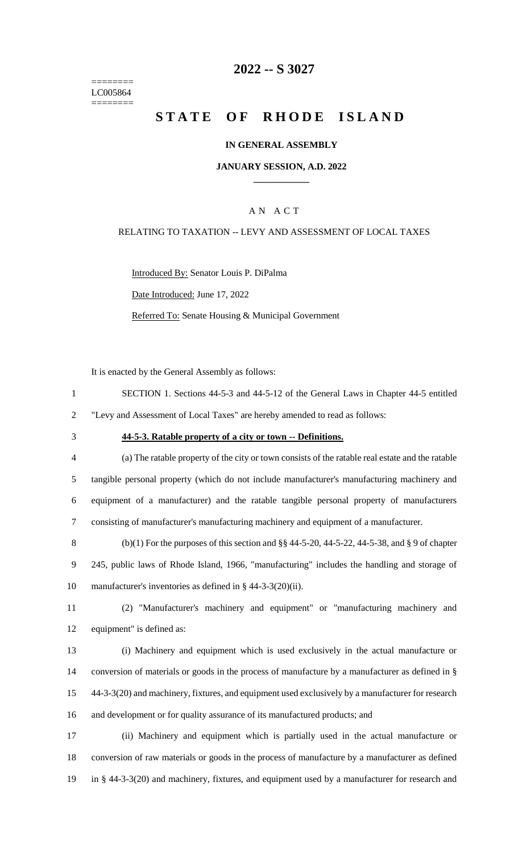======== LC005864 ========

## **2022 -- S 3027**

# **STATE OF RHODE ISLAND**

#### **IN GENERAL ASSEMBLY**

#### **JANUARY SESSION, A.D. 2022 \_\_\_\_\_\_\_\_\_\_\_\_**

## A N A C T

#### RELATING TO TAXATION -- LEVY AND ASSESSMENT OF LOCAL TAXES

Introduced By: Senator Louis P. DiPalma

Date Introduced: June 17, 2022

Referred To: Senate Housing & Municipal Government

It is enacted by the General Assembly as follows:

- 1 SECTION 1. Sections 44-5-3 and 44-5-12 of the General Laws in Chapter 44-5 entitled 2 "Levy and Assessment of Local Taxes" are hereby amended to read as follows:
- 

#### 3 **44-5-3. Ratable property of a city or town -- Definitions.**

 (a) The ratable property of the city or town consists of the ratable real estate and the ratable tangible personal property (which do not include manufacturer's manufacturing machinery and equipment of a manufacturer) and the ratable tangible personal property of manufacturers consisting of manufacturer's manufacturing machinery and equipment of a manufacturer.

8 (b)(1) For the purposes of this section and  $\S$ § 44-5-20, 44-5-22, 44-5-38, and § 9 of chapter 9 245, public laws of Rhode Island, 1966, "manufacturing" includes the handling and storage of 10 manufacturer's inventories as defined in § 44-3-3(20)(ii).

11 (2) "Manufacturer's machinery and equipment" or "manufacturing machinery and 12 equipment" is defined as:

 (i) Machinery and equipment which is used exclusively in the actual manufacture or 14 conversion of materials or goods in the process of manufacture by a manufacturer as defined in § 44-3-3(20) and machinery, fixtures, and equipment used exclusively by a manufacturer for research and development or for quality assurance of its manufactured products; and

17 (ii) Machinery and equipment which is partially used in the actual manufacture or 18 conversion of raw materials or goods in the process of manufacture by a manufacturer as defined 19 in § 44-3-3(20) and machinery, fixtures, and equipment used by a manufacturer for research and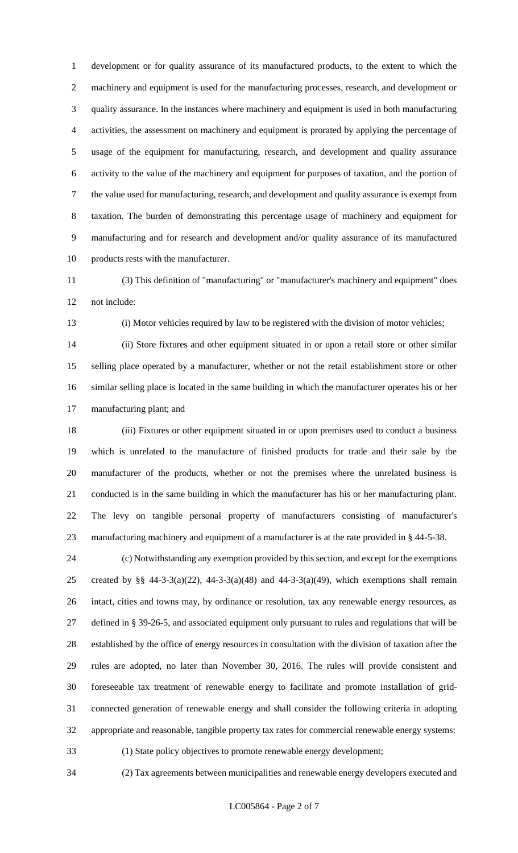development or for quality assurance of its manufactured products, to the extent to which the machinery and equipment is used for the manufacturing processes, research, and development or quality assurance. In the instances where machinery and equipment is used in both manufacturing activities, the assessment on machinery and equipment is prorated by applying the percentage of usage of the equipment for manufacturing, research, and development and quality assurance activity to the value of the machinery and equipment for purposes of taxation, and the portion of the value used for manufacturing, research, and development and quality assurance is exempt from taxation. The burden of demonstrating this percentage usage of machinery and equipment for manufacturing and for research and development and/or quality assurance of its manufactured products rests with the manufacturer.

 (3) This definition of "manufacturing" or "manufacturer's machinery and equipment" does not include:

(i) Motor vehicles required by law to be registered with the division of motor vehicles;

 (ii) Store fixtures and other equipment situated in or upon a retail store or other similar selling place operated by a manufacturer, whether or not the retail establishment store or other similar selling place is located in the same building in which the manufacturer operates his or her manufacturing plant; and

 (iii) Fixtures or other equipment situated in or upon premises used to conduct a business which is unrelated to the manufacture of finished products for trade and their sale by the manufacturer of the products, whether or not the premises where the unrelated business is conducted is in the same building in which the manufacturer has his or her manufacturing plant. The levy on tangible personal property of manufacturers consisting of manufacturer's manufacturing machinery and equipment of a manufacturer is at the rate provided in § 44-5-38.

 (c) Notwithstanding any exemption provided by this section, and except for the exemptions 25 created by §§ 44-3-3(a)(22), 44-3-3(a)(48) and 44-3-3(a)(49), which exemptions shall remain intact, cities and towns may, by ordinance or resolution, tax any renewable energy resources, as defined in § 39-26-5, and associated equipment only pursuant to rules and regulations that will be established by the office of energy resources in consultation with the division of taxation after the rules are adopted, no later than November 30, 2016. The rules will provide consistent and foreseeable tax treatment of renewable energy to facilitate and promote installation of grid- connected generation of renewable energy and shall consider the following criteria in adopting appropriate and reasonable, tangible property tax rates for commercial renewable energy systems: (1) State policy objectives to promote renewable energy development;

(2) Tax agreements between municipalities and renewable energy developers executed and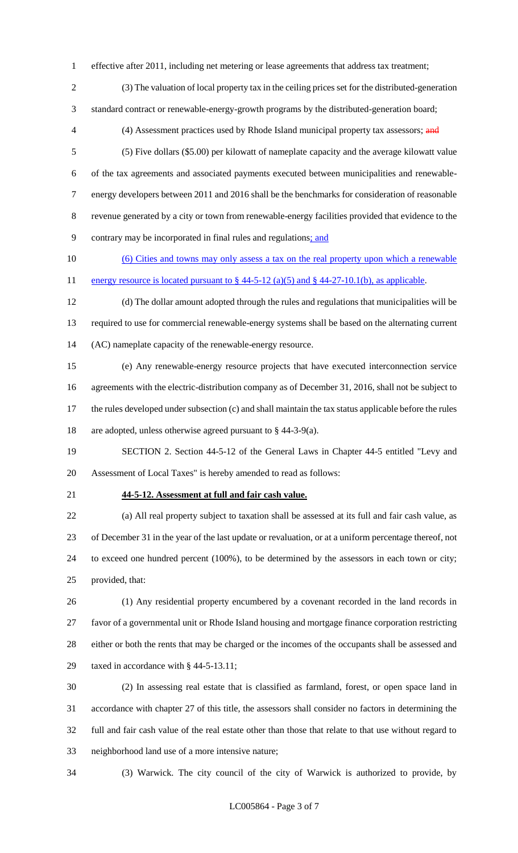effective after 2011, including net metering or lease agreements that address tax treatment;

- (3) The valuation of local property tax in the ceiling prices set for the distributed-generation standard contract or renewable-energy-growth programs by the distributed-generation board;
- 4 (4) Assessment practices used by Rhode Island municipal property tax assessors; and
- (5) Five dollars (\$5.00) per kilowatt of nameplate capacity and the average kilowatt value of the tax agreements and associated payments executed between municipalities and renewable- energy developers between 2011 and 2016 shall be the benchmarks for consideration of reasonable revenue generated by a city or town from renewable-energy facilities provided that evidence to the contrary may be incorporated in final rules and regulations; and
- (6) Cities and towns may only assess a tax on the real property upon which a renewable 11 energy resource is located pursuant to  $\S$  44-5-12 (a)(5) and  $\S$  44-27-10.1(b), as applicable.
- (d) The dollar amount adopted through the rules and regulations that municipalities will be required to use for commercial renewable-energy systems shall be based on the alternating current (AC) nameplate capacity of the renewable-energy resource.
- (e) Any renewable-energy resource projects that have executed interconnection service agreements with the electric-distribution company as of December 31, 2016, shall not be subject to the rules developed under subsection (c) and shall maintain the tax status applicable before the rules are adopted, unless otherwise agreed pursuant to § 44-3-9(a).
- SECTION 2. Section 44-5-12 of the General Laws in Chapter 44-5 entitled "Levy and Assessment of Local Taxes" is hereby amended to read as follows:
- 

#### **44-5-12. Assessment at full and fair cash value.**

 (a) All real property subject to taxation shall be assessed at its full and fair cash value, as of December 31 in the year of the last update or revaluation, or at a uniform percentage thereof, not to exceed one hundred percent (100%), to be determined by the assessors in each town or city; provided, that:

 (1) Any residential property encumbered by a covenant recorded in the land records in favor of a governmental unit or Rhode Island housing and mortgage finance corporation restricting either or both the rents that may be charged or the incomes of the occupants shall be assessed and taxed in accordance with § 44-5-13.11;

 (2) In assessing real estate that is classified as farmland, forest, or open space land in accordance with chapter 27 of this title, the assessors shall consider no factors in determining the full and fair cash value of the real estate other than those that relate to that use without regard to neighborhood land use of a more intensive nature;

(3) Warwick. The city council of the city of Warwick is authorized to provide, by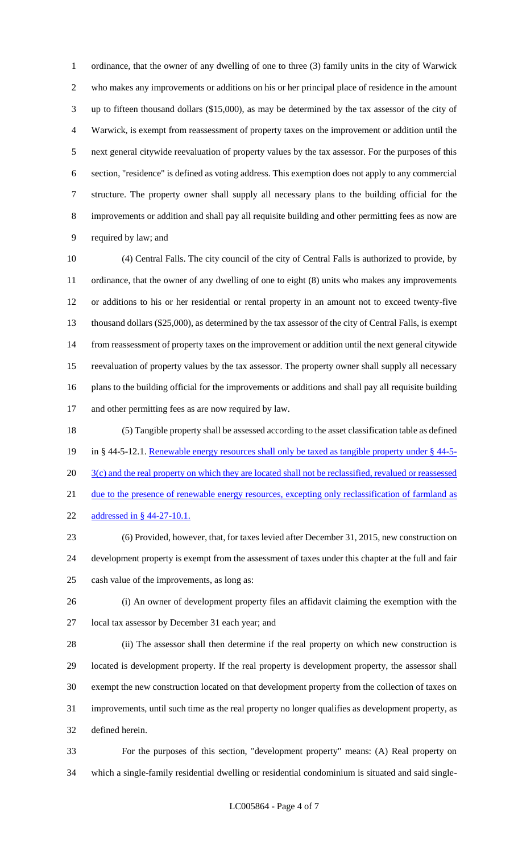ordinance, that the owner of any dwelling of one to three (3) family units in the city of Warwick who makes any improvements or additions on his or her principal place of residence in the amount up to fifteen thousand dollars (\$15,000), as may be determined by the tax assessor of the city of Warwick, is exempt from reassessment of property taxes on the improvement or addition until the next general citywide reevaluation of property values by the tax assessor. For the purposes of this section, "residence" is defined as voting address. This exemption does not apply to any commercial structure. The property owner shall supply all necessary plans to the building official for the improvements or addition and shall pay all requisite building and other permitting fees as now are required by law; and

 (4) Central Falls. The city council of the city of Central Falls is authorized to provide, by ordinance, that the owner of any dwelling of one to eight (8) units who makes any improvements or additions to his or her residential or rental property in an amount not to exceed twenty-five thousand dollars (\$25,000), as determined by the tax assessor of the city of Central Falls, is exempt from reassessment of property taxes on the improvement or addition until the next general citywide reevaluation of property values by the tax assessor. The property owner shall supply all necessary plans to the building official for the improvements or additions and shall pay all requisite building and other permitting fees as are now required by law.

 (5) Tangible property shall be assessed according to the asset classification table as defined 19 in § 44-5-12.1. Renewable energy resources shall only be taxed as tangible property under § 44-5-20 3(c) and the real property on which they are located shall not be reclassified, revalued or reassessed 21 due to the presence of renewable energy resources, excepting only reclassification of farmland as addressed in § 44-27-10.1.

 (6) Provided, however, that, for taxes levied after December 31, 2015, new construction on development property is exempt from the assessment of taxes under this chapter at the full and fair cash value of the improvements, as long as:

 (i) An owner of development property files an affidavit claiming the exemption with the local tax assessor by December 31 each year; and

 (ii) The assessor shall then determine if the real property on which new construction is located is development property. If the real property is development property, the assessor shall exempt the new construction located on that development property from the collection of taxes on improvements, until such time as the real property no longer qualifies as development property, as defined herein.

 For the purposes of this section, "development property" means: (A) Real property on which a single-family residential dwelling or residential condominium is situated and said single-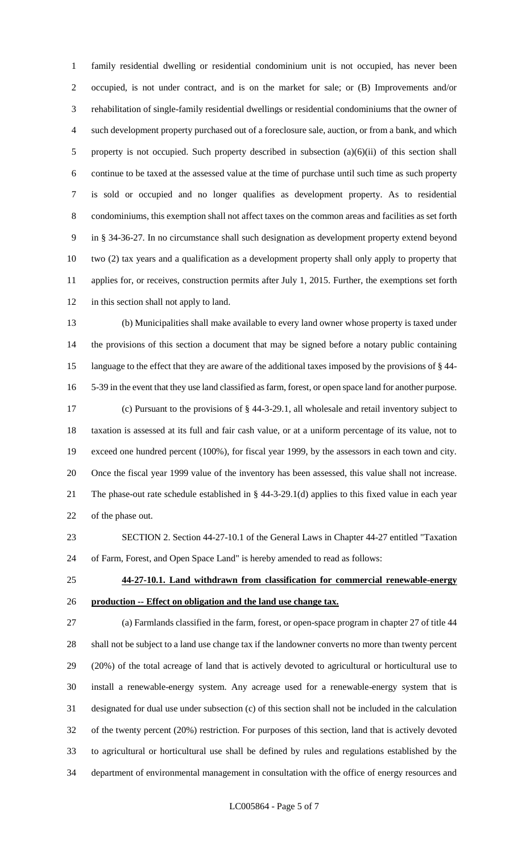family residential dwelling or residential condominium unit is not occupied, has never been occupied, is not under contract, and is on the market for sale; or (B) Improvements and/or rehabilitation of single-family residential dwellings or residential condominiums that the owner of such development property purchased out of a foreclosure sale, auction, or from a bank, and which property is not occupied. Such property described in subsection (a)(6)(ii) of this section shall continue to be taxed at the assessed value at the time of purchase until such time as such property is sold or occupied and no longer qualifies as development property. As to residential condominiums, this exemption shall not affect taxes on the common areas and facilities as set forth in § 34-36-27. In no circumstance shall such designation as development property extend beyond two (2) tax years and a qualification as a development property shall only apply to property that applies for, or receives, construction permits after July 1, 2015. Further, the exemptions set forth 12 in this section shall not apply to land.

 (b) Municipalities shall make available to every land owner whose property is taxed under the provisions of this section a document that may be signed before a notary public containing language to the effect that they are aware of the additional taxes imposed by the provisions of § 44- 5-39 in the event that they use land classified as farm, forest, or open space land for another purpose. (c) Pursuant to the provisions of § 44-3-29.1, all wholesale and retail inventory subject to taxation is assessed at its full and fair cash value, or at a uniform percentage of its value, not to exceed one hundred percent (100%), for fiscal year 1999, by the assessors in each town and city. Once the fiscal year 1999 value of the inventory has been assessed, this value shall not increase. The phase-out rate schedule established in § 44-3-29.1(d) applies to this fixed value in each year of the phase out.

 SECTION 2. Section 44-27-10.1 of the General Laws in Chapter 44-27 entitled "Taxation of Farm, Forest, and Open Space Land" is hereby amended to read as follows:

 **44-27-10.1. Land withdrawn from classification for commercial renewable-energy production -- Effect on obligation and the land use change tax.**

 (a) Farmlands classified in the farm, forest, or open-space program in chapter 27 of title 44 shall not be subject to a land use change tax if the landowner converts no more than twenty percent (20%) of the total acreage of land that is actively devoted to agricultural or horticultural use to install a renewable-energy system. Any acreage used for a renewable-energy system that is designated for dual use under subsection (c) of this section shall not be included in the calculation of the twenty percent (20%) restriction. For purposes of this section, land that is actively devoted to agricultural or horticultural use shall be defined by rules and regulations established by the department of environmental management in consultation with the office of energy resources and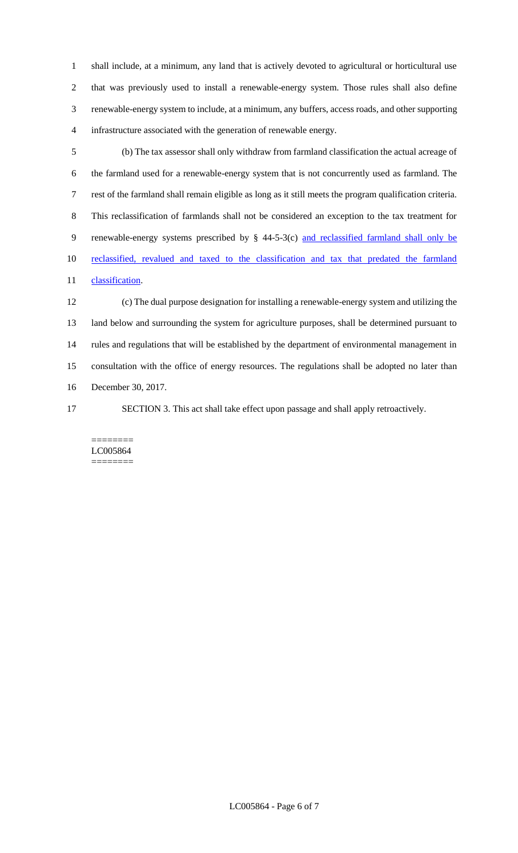shall include, at a minimum, any land that is actively devoted to agricultural or horticultural use that was previously used to install a renewable-energy system. Those rules shall also define renewable-energy system to include, at a minimum, any buffers, access roads, and other supporting infrastructure associated with the generation of renewable energy.

 (b) The tax assessor shall only withdraw from farmland classification the actual acreage of the farmland used for a renewable-energy system that is not concurrently used as farmland. The rest of the farmland shall remain eligible as long as it still meets the program qualification criteria. This reclassification of farmlands shall not be considered an exception to the tax treatment for 9 renewable-energy systems prescribed by § 44-5-3(c) and reclassified farmland shall only be reclassified, revalued and taxed to the classification and tax that predated the farmland 11 classification.

 (c) The dual purpose designation for installing a renewable-energy system and utilizing the land below and surrounding the system for agriculture purposes, shall be determined pursuant to rules and regulations that will be established by the department of environmental management in consultation with the office of energy resources. The regulations shall be adopted no later than December 30, 2017.

SECTION 3. This act shall take effect upon passage and shall apply retroactively.

======== LC005864 ========